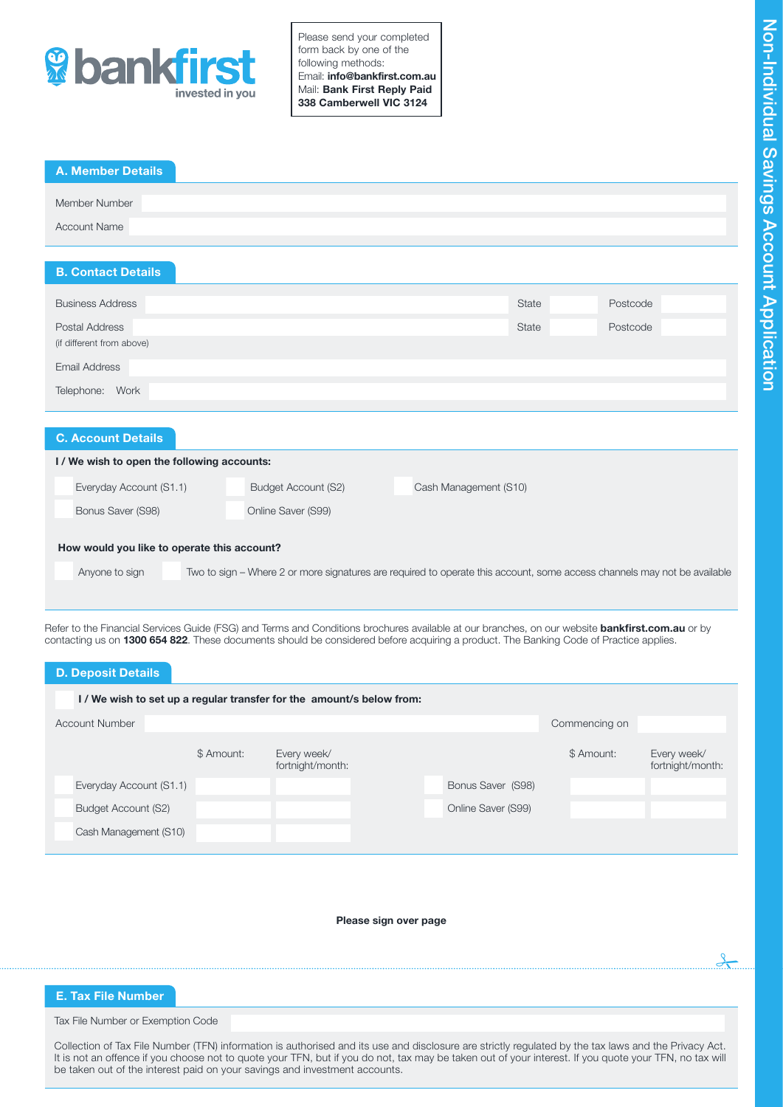

Please send your completed form back by one of the following methods: Email: info@bankfirst.com.au Mail: Bank First Reply Paid 338 Camberwell VIC 3124

| <b>A. Member Details</b>                                                                                                                        |                                                                                                                          |                       |              |          |
|-------------------------------------------------------------------------------------------------------------------------------------------------|--------------------------------------------------------------------------------------------------------------------------|-----------------------|--------------|----------|
| Member Number                                                                                                                                   |                                                                                                                          |                       |              |          |
| <b>Account Name</b>                                                                                                                             |                                                                                                                          |                       |              |          |
| <b>B. Contact Details</b>                                                                                                                       |                                                                                                                          |                       |              |          |
|                                                                                                                                                 |                                                                                                                          |                       |              |          |
| <b>Business Address</b>                                                                                                                         |                                                                                                                          |                       | <b>State</b> | Postcode |
| Postal Address                                                                                                                                  |                                                                                                                          |                       | <b>State</b> | Postcode |
| (if different from above)                                                                                                                       |                                                                                                                          |                       |              |          |
| <b>Email Address</b>                                                                                                                            |                                                                                                                          |                       |              |          |
| Telephone: Work                                                                                                                                 |                                                                                                                          |                       |              |          |
|                                                                                                                                                 |                                                                                                                          |                       |              |          |
| <b>C. Account Details</b>                                                                                                                       |                                                                                                                          |                       |              |          |
| I/We wish to open the following accounts:                                                                                                       |                                                                                                                          |                       |              |          |
| Everyday Account (S1.1)                                                                                                                         | <b>Budget Account (S2)</b>                                                                                               | Cash Management (S10) |              |          |
| Bonus Saver (S98)                                                                                                                               | Online Saver (S99)                                                                                                       |                       |              |          |
| How would you like to operate this account?                                                                                                     |                                                                                                                          |                       |              |          |
|                                                                                                                                                 |                                                                                                                          |                       |              |          |
| Anyone to sign                                                                                                                                  | Two to sign – Where 2 or more signatures are required to operate this account, some access channels may not be available |                       |              |          |
|                                                                                                                                                 |                                                                                                                          |                       |              |          |
| Refer to the Financial Services Guide (FSG) and Terms and Conditions brochures available at our branches, on our website bankfirst.com.au or by |                                                                                                                          |                       |              |          |
| contacting us on 1300 654 822. These documents should be considered before acquiring a product. The Banking Code of Practice applies.           |                                                                                                                          |                       |              |          |

| <b>D. Deposit Details</b> |            |                                                                     |                    |               |                                 |
|---------------------------|------------|---------------------------------------------------------------------|--------------------|---------------|---------------------------------|
|                           |            | I/We wish to set up a regular transfer for the amount/s below from: |                    |               |                                 |
| <b>Account Number</b>     |            |                                                                     |                    | Commencing on |                                 |
|                           | \$ Amount: | Every week/<br>fortnight/month:                                     |                    | \$ Amount:    | Every week/<br>fortnight/month: |
| Everyday Account (S1.1)   |            |                                                                     | Bonus Saver (S98)  |               |                                 |
| Budget Account (S2)       |            |                                                                     | Online Saver (S99) |               |                                 |
| Cash Management (S10)     |            |                                                                     |                    |               |                                 |
|                           |            |                                                                     |                    |               |                                 |

Please sign over page

# E. Tax File Number

Tax File Number or Exemption Code

Collection of Tax File Number (TFN) information is authorised and its use and disclosure are strictly regulated by the tax laws and the Privacy Act. It is not an offence if you choose not to quote your TFN, but if you do not, tax may be taken out of your interest. If you quote your TFN, no tax will be taken out of the interest paid on your savings and investment accounts.

 $\frac{1}{2}$